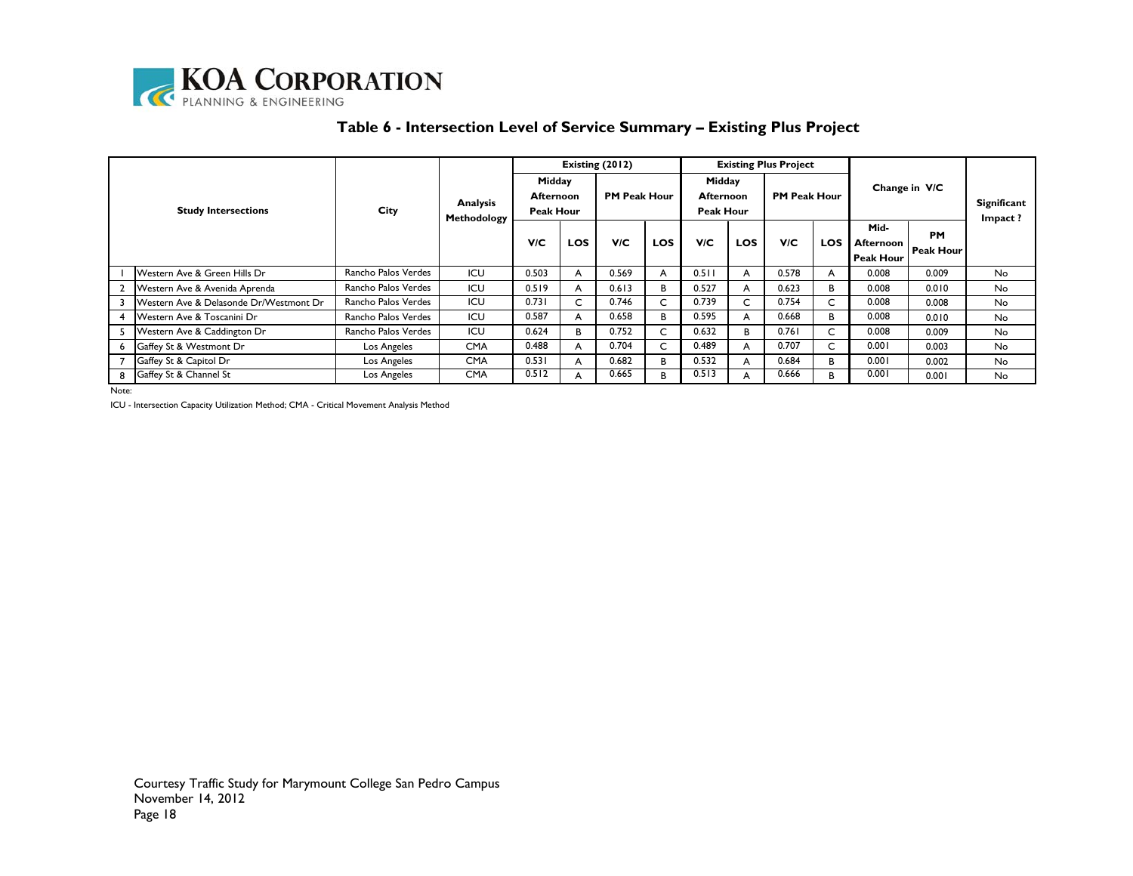

| Table 6 - Intersection Level of Service Summary – Existing Plus Project |
|-------------------------------------------------------------------------|
|                                                                         |

|  | <b>Study Intersections</b>             |                     | Analysis<br>Methodology |                                         |            | Existing (2012)     |            | <b>Existing Plus Project</b>     |     |                     |            |                                       |                        |                        |
|--|----------------------------------------|---------------------|-------------------------|-----------------------------------------|------------|---------------------|------------|----------------------------------|-----|---------------------|------------|---------------------------------------|------------------------|------------------------|
|  |                                        | City                |                         | Midday<br><b>Afternoon</b><br>Peak Hour |            | <b>PM Peak Hour</b> |            | Midday<br>Afternoon<br>Peak Hour |     | <b>PM Peak Hour</b> |            | Change in V/C                         |                        | Significant<br>Impact? |
|  |                                        |                     |                         | <b>V/C</b>                              | <b>LOS</b> | V/C                 | <b>LOS</b> | <b>V/C</b>                       | LOS | <b>V/C</b>          | <b>LOS</b> | Mid-<br>Afternoon<br><b>Peak Hour</b> | <b>PM</b><br>Peak Hour |                        |
|  | Western Ave & Green Hills Dr           | Rancho Palos Verdes | ICU                     | 0.503                                   | A          | 0.569               | A          | 0.511                            | A   | 0.578               | A          | 0.008                                 | 0.009                  | <b>No</b>              |
|  | Western Ave & Avenida Aprenda          | Rancho Palos Verdes | ICU                     | 0.519                                   | A          | 0.613               | B          | 0.527                            | A   | 0.623               | В          | 0.008                                 | 0.010                  | <b>No</b>              |
|  | Western Ave & Delasonde Dr/Westmont Dr | Rancho Palos Verdes | ICU                     | 0.731                                   | C          | 0.746               |            | 0.739                            | C   | 0.754               | C          | 0.008                                 | 0.008                  | No.                    |
|  | Western Ave & Toscanini Dr             | Rancho Palos Verdes | ICU                     | 0.587                                   | A          | 0.658               | B.         | 0.595                            | A   | 0.668               | B          | 0.008                                 | 0.010                  | <b>No</b>              |
|  | Western Ave & Caddington Dr            | Rancho Palos Verdes | ICU                     | 0.624                                   | B          | 0.752               |            | 0.632                            | B.  | 0.761               | C          | 0.008                                 | 0.009                  | <b>No</b>              |
|  | Gaffey St & Westmont Dr                | Los Angeles         | <b>CMA</b>              | 0.488                                   | A          | 0.704               |            | 0.489                            | A   | 0.707               | C          | 0.001                                 | 0.003                  | <b>No</b>              |
|  | Gaffey St & Capitol Dr                 | Los Angeles         | <b>CMA</b>              | 0.531                                   | A          | 0.682               | B.         | 0.532                            | A   | 0.684               | в          | 0.001                                 | 0.002                  | <b>No</b>              |
|  | 8 Gaffey St & Channel St               | Los Angeles         | <b>CMA</b>              | 0.512                                   |            | 0.665               | B.         | 0.513                            | А   | 0.666               | B          | 0.001                                 | 0.001                  | <b>No</b>              |

Note:

ICU - Intersection Capacity Utilization Method; CMA - Critical Movement Analysis Method